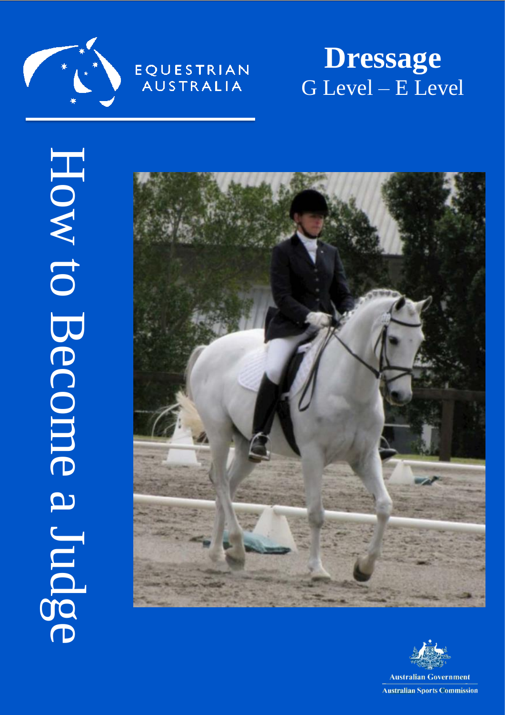

# **Dressage** G Level – E Level

# How to Become a Judge How to Become a Judge





**Australian Government Australian Sports Commission**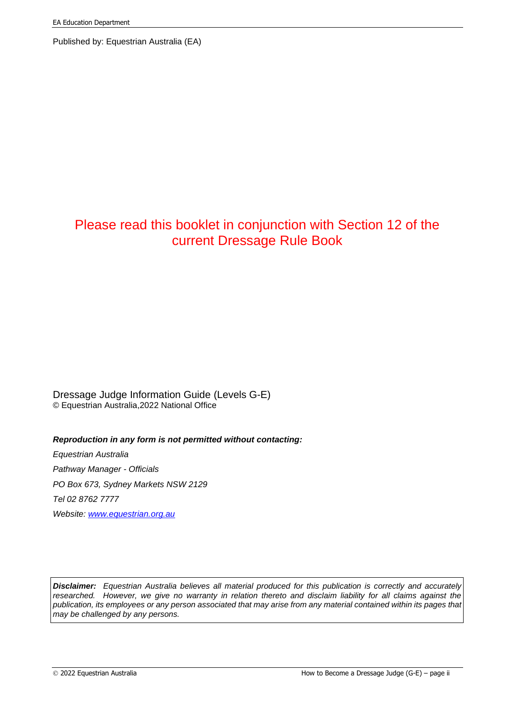Published by: Equestrian Australia (EA)

# Please read this booklet in conjunction with Section 12 of the current Dressage Rule Book

Dressage Judge Information Guide (Levels G-E) © Equestrian Australia,2022 National Office

### *Reproduction in any form is not permitted without contacting:*

*Equestrian Australia Pathway Manager - Officials PO Box 673, Sydney Markets NSW 2129 Tel 02 8762 7777 Website: [www.equestrian.org.au](http://www.efanational.com/)*

*Disclaimer: Equestrian Australia believes all material produced for this publication is correctly and accurately*  researched. However, we give no warranty in relation thereto and disclaim liability for all claims against the *publication, its employees or any person associated that may arise from any material contained within its pages that may be challenged by any persons.*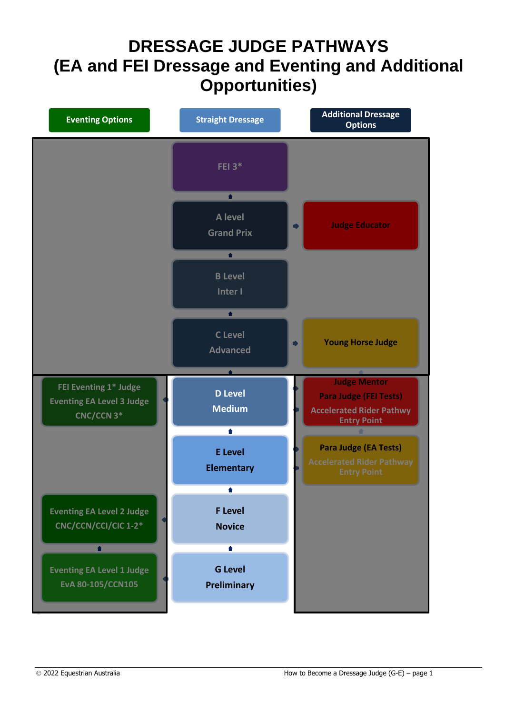# **DRESSAGE JUDGE PATHWAYS (EA and FEI Dressage and Eventing and Additional Opportunities)**

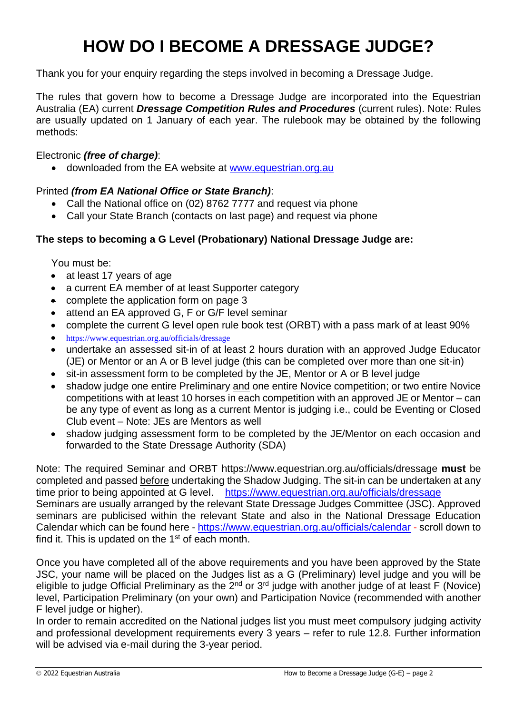# **HOW DO I BECOME A DRESSAGE JUDGE?**

Thank you for your enquiry regarding the steps involved in becoming a Dressage Judge.

The rules that govern how to become a Dressage Judge are incorporated into the Equestrian Australia (EA) current *Dressage Competition Rules and Procedures* (current rules). Note: Rules are usually updated on 1 January of each year. The rulebook may be obtained by the following methods:

### Electronic *(free of charge)*:

• downloaded from the EA website at [www.equestrian.org.au](http://www.equestrian.org.au/)

### Printed *(from EA National Office or State Branch)*:

- Call the National office on (02) 8762 7777 and request via phone
- Call your State Branch (contacts on last page) and request via phone

### **The steps to becoming a G Level (Probationary) National Dressage Judge are:**

You must be:

- at least 17 years of age
- a current EA member of at least Supporter category
- complete the application form on page 3
- attend an EA approved G, F or G/F level seminar
- complete the current G level open rule book test (ORBT) with a pass mark of at least 90%
- <https://www.equestrian.org.au/officials/dressage>
- undertake an assessed sit-in of at least 2 hours duration with an approved Judge Educator (JE) or Mentor or an A or B level judge (this can be completed over more than one sit-in)
- sit-in assessment form to be completed by the JE, Mentor or A or B level judge
- shadow judge one entire Preliminary and one entire Novice competition; or two entire Novice competitions with at least 10 horses in each competition with an approved JE or Mentor – can be any type of event as long as a current Mentor is judging i.e., could be Eventing or Closed Club event – Note: JEs are Mentors as well
- shadow judging assessment form to be completed by the JE/Mentor on each occasion and forwarded to the State Dressage Authority (SDA)

Note: The required Seminar and ORBT https://www.equestrian.org.au/officials/dressage **must** be completed and passed before undertaking the Shadow Judging. The sit-in can be undertaken at any time prior to being appointed at G level. <https://www.equestrian.org.au/officials/dressage> Seminars are usually arranged by the relevant State Dressage Judges Committee (JSC). Approved seminars are publicised within the relevant State and also in the National Dressage Education Calendar which can be found here - <https://www.equestrian.org.au/officials/calendar> - scroll down to find it. This is updated on the  $1<sup>st</sup>$  of each month.

Once you have completed all of the above requirements and you have been approved by the State JSC, your name will be placed on the Judges list as a G (Preliminary) level judge and you will be eligible to judge Official Preliminary as the  $2^{nd}$  or  $3^{rd}$  judge with another judge of at least F (Novice) level, Participation Preliminary (on your own) and Participation Novice (recommended with another F level judge or higher).

In order to remain accredited on the National judges list you must meet compulsory judging activity and professional development requirements every 3 years – refer to rule 12.8. Further information will be advised via e-mail during the 3-year period.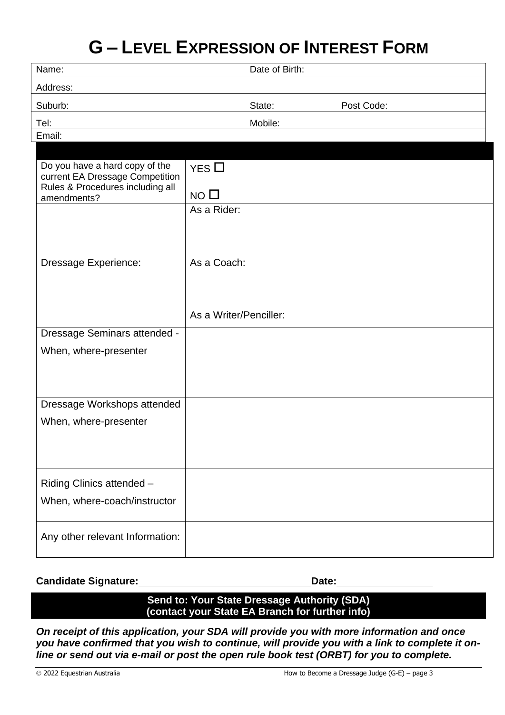# **G – LEVEL EXPRESSION OF INTEREST FORM**

| Name:                                                                                                                |                                                | Date of Birth: |            |  |
|----------------------------------------------------------------------------------------------------------------------|------------------------------------------------|----------------|------------|--|
| Address:                                                                                                             |                                                |                |            |  |
| Suburb:                                                                                                              |                                                | State:         | Post Code: |  |
| Tel:                                                                                                                 |                                                | Mobile:        |            |  |
| Email:                                                                                                               |                                                |                |            |  |
| Do you have a hard copy of the<br>current EA Dressage Competition<br>Rules & Procedures including all<br>amendments? | $YES$ $\Box$<br>NO <sub>1</sub><br>As a Rider: |                |            |  |
| Dressage Experience:                                                                                                 | As a Coach:<br>As a Writer/Penciller:          |                |            |  |
| Dressage Seminars attended -                                                                                         |                                                |                |            |  |
| When, where-presenter                                                                                                |                                                |                |            |  |
|                                                                                                                      |                                                |                |            |  |
| Dressage Workshops attended                                                                                          |                                                |                |            |  |
| When, where-presenter                                                                                                |                                                |                |            |  |
| Riding Clinics attended -                                                                                            |                                                |                |            |  |
| When, where-coach/instructor                                                                                         |                                                |                |            |  |
| Any other relevant Information:                                                                                      |                                                |                |            |  |

### **Candidate Signature: Date: Date:**

### **Send to: Your State Dressage Authority (SDA) (contact your State EA Branch for further info)**

*On receipt of this application, your SDA will provide you with more information and once you have confirmed that you wish to continue, will provide you with a link to complete it online or send out via e-mail or post the open rule book test (ORBT) for you to complete.*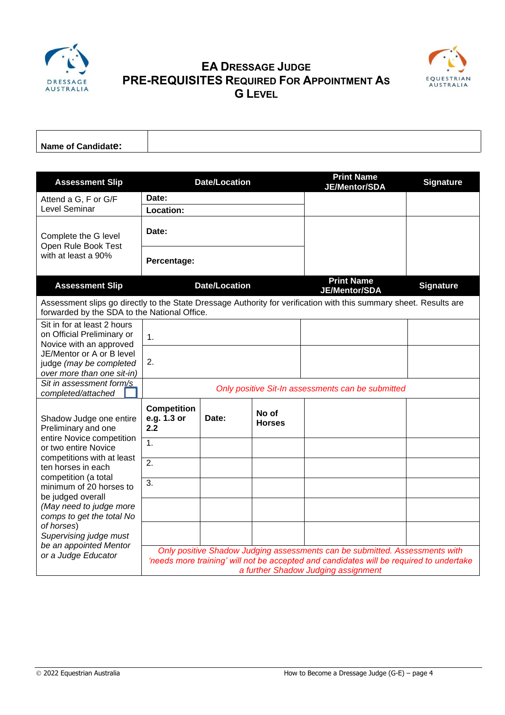

# **EA DRESSAGE JUDGE PRE-REQUISITES REQUIRED FOR APPOINTMENT AS G LEVEL**



| <b>Name of Candidate:</b> |  |
|---------------------------|--|

| <b>Assessment Slip</b>                                                                                                                                                                                                          | <b>Date/Location</b>                     |                      | <b>Print Name</b><br><b>JE/Mentor/SDA</b> | <b>Signature</b>                                                                                                                                                                                              |                  |
|---------------------------------------------------------------------------------------------------------------------------------------------------------------------------------------------------------------------------------|------------------------------------------|----------------------|-------------------------------------------|---------------------------------------------------------------------------------------------------------------------------------------------------------------------------------------------------------------|------------------|
| Attend a G, F or G/F                                                                                                                                                                                                            | Date:<br>Location:                       |                      |                                           |                                                                                                                                                                                                               |                  |
| Level Seminar                                                                                                                                                                                                                   |                                          |                      |                                           |                                                                                                                                                                                                               |                  |
| Complete the G level<br>Open Rule Book Test                                                                                                                                                                                     | Date:                                    |                      |                                           |                                                                                                                                                                                                               |                  |
| with at least a 90%                                                                                                                                                                                                             | Percentage:                              |                      |                                           |                                                                                                                                                                                                               |                  |
| <b>Assessment Slip</b>                                                                                                                                                                                                          |                                          | <b>Date/Location</b> |                                           | <b>Print Name</b><br><b>JE/Mentor/SDA</b>                                                                                                                                                                     | <b>Signature</b> |
| forwarded by the SDA to the National Office.                                                                                                                                                                                    |                                          |                      |                                           | Assessment slips go directly to the State Dressage Authority for verification with this summary sheet. Results are                                                                                            |                  |
| Sit in for at least 2 hours<br>on Official Preliminary or                                                                                                                                                                       | 1.                                       |                      |                                           |                                                                                                                                                                                                               |                  |
| Novice with an approved<br>JE/Mentor or A or B level<br>judge (may be completed<br>over more than one sit-in)                                                                                                                   | 2.                                       |                      |                                           |                                                                                                                                                                                                               |                  |
| Sit in assessment form/s<br>completed/attached                                                                                                                                                                                  |                                          |                      |                                           | Only positive Sit-In assessments can be submitted                                                                                                                                                             |                  |
| Shadow Judge one entire<br>Preliminary and one<br>entire Novice competition<br>or two entire Novice<br>competitions with at least<br>ten horses in each<br>competition (a total<br>minimum of 20 horses to<br>be judged overall | <b>Competition</b><br>e.g. 1.3 or<br>2.2 | Date:                | No of<br><b>Horses</b>                    |                                                                                                                                                                                                               |                  |
|                                                                                                                                                                                                                                 | 1.                                       |                      |                                           |                                                                                                                                                                                                               |                  |
|                                                                                                                                                                                                                                 | $\overline{2}$ .                         |                      |                                           |                                                                                                                                                                                                               |                  |
|                                                                                                                                                                                                                                 | 3.                                       |                      |                                           |                                                                                                                                                                                                               |                  |
| (May need to judge more<br>comps to get the total No                                                                                                                                                                            |                                          |                      |                                           |                                                                                                                                                                                                               |                  |
| of horses)<br>Supervising judge must                                                                                                                                                                                            |                                          |                      |                                           |                                                                                                                                                                                                               |                  |
| be an appointed Mentor<br>or a Judge Educator                                                                                                                                                                                   |                                          |                      |                                           | Only positive Shadow Judging assessments can be submitted. Assessments with<br>'needs more training' will not be accepted and candidates will be required to undertake<br>a further Shadow Judging assignment |                  |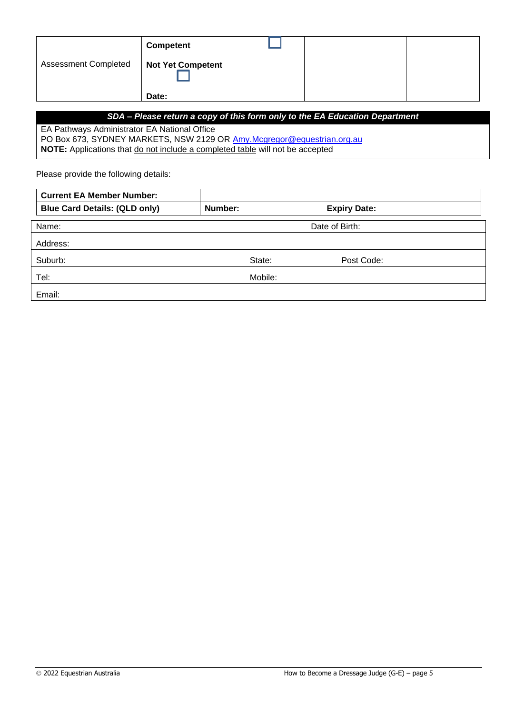|                             | <b>Competent</b>         |  |
|-----------------------------|--------------------------|--|
| <b>Assessment Completed</b> | <b>Not Yet Competent</b> |  |
|                             | Date:                    |  |

*SDA – Please return a copy of this form only to the EA Education Department*

EA Pathways Administrator EA National Office PO Box 673, SYDNEY MARKETS, NSW 2129 OR [Amy.Mcgregor@equestrian.org.au](mailto:Amy.Mcgregor@equestrian.org.au) **NOTE:** Applications that <u>do not include a completed table</u> will not be accepted

Please provide the following details:

| <b>Current EA Member Number:</b>     |         |                     |  |
|--------------------------------------|---------|---------------------|--|
| <b>Blue Card Details: (QLD only)</b> | Number: | <b>Expiry Date:</b> |  |
| Name:                                |         | Date of Birth:      |  |
| Address:                             |         |                     |  |
| Suburb:                              | State:  | Post Code:          |  |
| Tel:                                 | Mobile: |                     |  |
| Email:                               |         |                     |  |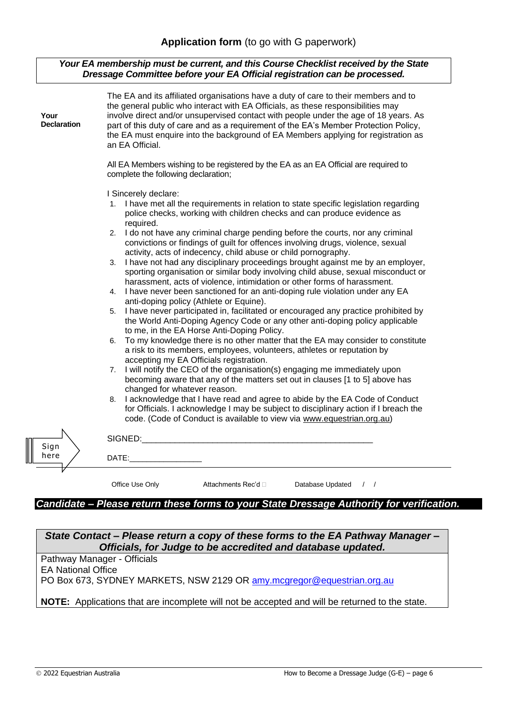### *Your EA membership must be current, and this Course Checklist received by the State Dressage Committee before your EA Official registration can be processed.*

| Your<br><b>Declaration</b> | The EA and its affiliated organisations have a duty of care to their members and to<br>the general public who interact with EA Officials, as these responsibilities may<br>involve direct and/or unsupervised contact with people under the age of 18 years. As<br>part of this duty of care and as a requirement of the EA's Member Protection Policy,<br>the EA must enquire into the background of EA Members applying for registration as<br>an EA Official.                                                                                                                                                                                                                                                                                                                                                                                                                                                                                                                                                                                                                                                                                                                                                                                                                                                                                                                                                                                                                                                                                                                                                                                         |
|----------------------------|----------------------------------------------------------------------------------------------------------------------------------------------------------------------------------------------------------------------------------------------------------------------------------------------------------------------------------------------------------------------------------------------------------------------------------------------------------------------------------------------------------------------------------------------------------------------------------------------------------------------------------------------------------------------------------------------------------------------------------------------------------------------------------------------------------------------------------------------------------------------------------------------------------------------------------------------------------------------------------------------------------------------------------------------------------------------------------------------------------------------------------------------------------------------------------------------------------------------------------------------------------------------------------------------------------------------------------------------------------------------------------------------------------------------------------------------------------------------------------------------------------------------------------------------------------------------------------------------------------------------------------------------------------|
|                            | All EA Members wishing to be registered by the EA as an EA Official are required to<br>complete the following declaration;                                                                                                                                                                                                                                                                                                                                                                                                                                                                                                                                                                                                                                                                                                                                                                                                                                                                                                                                                                                                                                                                                                                                                                                                                                                                                                                                                                                                                                                                                                                               |
|                            | I Sincerely declare:<br>1. I have met all the requirements in relation to state specific legislation regarding<br>police checks, working with children checks and can produce evidence as<br>required.<br>2. I do not have any criminal charge pending before the courts, nor any criminal<br>convictions or findings of guilt for offences involving drugs, violence, sexual<br>activity, acts of indecency, child abuse or child pornography.<br>I have not had any disciplinary proceedings brought against me by an employer,<br>3.<br>sporting organisation or similar body involving child abuse, sexual misconduct or<br>harassment, acts of violence, intimidation or other forms of harassment.<br>4. I have never been sanctioned for an anti-doping rule violation under any EA<br>anti-doping policy (Athlete or Equine).<br>5. I have never participated in, facilitated or encouraged any practice prohibited by<br>the World Anti-Doping Agency Code or any other anti-doping policy applicable<br>to me, in the EA Horse Anti-Doping Policy.<br>To my knowledge there is no other matter that the EA may consider to constitute<br>6.<br>a risk to its members, employees, volunteers, athletes or reputation by<br>accepting my EA Officials registration.<br>7. I will notify the CEO of the organisation(s) engaging me immediately upon<br>becoming aware that any of the matters set out in clauses [1 to 5] above has<br>changed for whatever reason.<br>I acknowledge that I have read and agree to abide by the EA Code of Conduct<br>8.<br>for Officials. I acknowledge I may be subject to disciplinary action if I breach the |
|                            | code. (Code of Conduct is available to view via www.equestrian.org.au)                                                                                                                                                                                                                                                                                                                                                                                                                                                                                                                                                                                                                                                                                                                                                                                                                                                                                                                                                                                                                                                                                                                                                                                                                                                                                                                                                                                                                                                                                                                                                                                   |
| Sign<br>here               | SIGNED:<br>DATE:                                                                                                                                                                                                                                                                                                                                                                                                                                                                                                                                                                                                                                                                                                                                                                                                                                                                                                                                                                                                                                                                                                                                                                                                                                                                                                                                                                                                                                                                                                                                                                                                                                         |
|                            | Office Use Only<br>Database Updated<br>Attachments Rec'd □<br>$\frac{1}{2}$                                                                                                                                                                                                                                                                                                                                                                                                                                                                                                                                                                                                                                                                                                                                                                                                                                                                                                                                                                                                                                                                                                                                                                                                                                                                                                                                                                                                                                                                                                                                                                              |

### *Candidate – Please return these forms to your State Dressage Authority for verification.*

*State Contact – Please return a copy of these forms to the EA Pathway Manager – Officials, for Judge to be accredited and database updated.*

Pathway Manager - Officials

EA National Office

PO Box 673, SYDNEY MARKETS, NSW 2129 OR [amy.mcgregor@equestrian.org.au](mailto:amy.mcgregor@equestrian.org.au)

**NOTE:** Applications that are incomplete will not be accepted and will be returned to the state.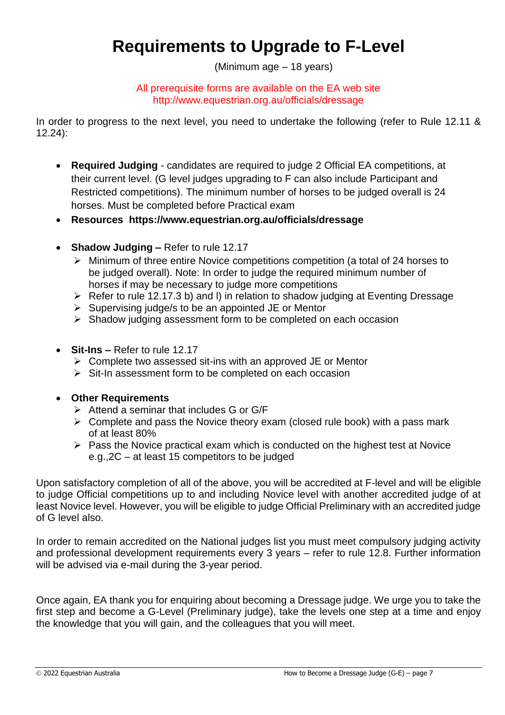# **Requirements to Upgrade to F-Level**

(Minimum age – 18 years)

All prerequisite forms are available on the EA web site http://www.equestrian.org.au/officials/dressage

In order to progress to the next level, you need to undertake the following (refer to Rule 12.11 & 12.24):

- **Required Judging** candidates are required to judge 2 Official EA competitions, at their current level. (G level judges upgrading to F can also include Participant and Restricted competitions). The minimum number of horses to be judged overall is 24 horses. Must be completed before Practical exam
- **Resources https://www.equestrian.org.au/officials/dressage**
- **Shadow Judging –** Refer to rule 12.17
	- ➢ Minimum of three entire Novice competitions competition (a total of 24 horses to be judged overall). Note: In order to judge the required minimum number of horses if may be necessary to judge more competitions
	- ➢ Refer to rule 12.17.3 b) and l) in relation to shadow judging at Eventing Dressage
	- $\triangleright$  Supervising judge/s to be an appointed JE or Mentor
	- ➢ Shadow judging assessment form to be completed on each occasion
- **Sit-Ins –** Refer to rule 12.17
	- ➢ Complete two assessed sit-ins with an approved JE or Mentor
	- ➢ Sit-In assessment form to be completed on each occasion
- **Other Requirements**
	- ➢ Attend a seminar that includes G or G/F
	- ➢ Complete and pass the Novice theory exam (closed rule book) with a pass mark of at least 80%
	- ➢ Pass the Novice practical exam which is conducted on the highest test at Novice e.g.,2C – at least 15 competitors to be judged

Upon satisfactory completion of all of the above, you will be accredited at F-level and will be eligible to judge Official competitions up to and including Novice level with another accredited judge of at least Novice level. However, you will be eligible to judge Official Preliminary with an accredited judge of G level also.

In order to remain accredited on the National judges list you must meet compulsory judging activity and professional development requirements every 3 years – refer to rule 12.8. Further information will be advised via e-mail during the 3-year period.

Once again, EA thank you for enquiring about becoming a Dressage judge. We urge you to take the first step and become a G-Level (Preliminary judge), take the levels one step at a time and enjoy the knowledge that you will gain, and the colleagues that you will meet.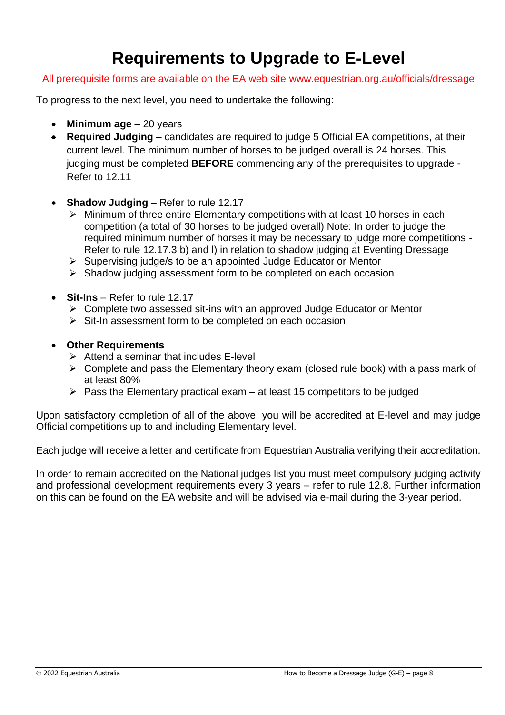# **Requirements to Upgrade to E-Level**

All prerequisite forms are available on the EA web site www.equestrian.org.au/officials/dressage

To progress to the next level, you need to undertake the following:

- **Minimum age** 20 years
- **Required Judging** candidates are required to judge 5 Official EA competitions, at their current level. The minimum number of horses to be judged overall is 24 horses. This judging must be completed **BEFORE** commencing any of the prerequisites to upgrade - Refer to 12.11
- **Shadow Judging**  Refer to rule 12.17
	- ➢ Minimum of three entire Elementary competitions with at least 10 horses in each competition (a total of 30 horses to be judged overall) Note: In order to judge the required minimum number of horses it may be necessary to judge more competitions - Refer to rule 12.17.3 b) and l) in relation to shadow judging at Eventing Dressage
	- ➢ Supervising judge/s to be an appointed Judge Educator or Mentor
	- ➢ Shadow judging assessment form to be completed on each occasion
- **Sit-Ins**  Refer to rule 12.17
	- ➢ Complete two assessed sit-ins with an approved Judge Educator or Mentor
	- ➢ Sit-In assessment form to be completed on each occasion

### • **Other Requirements**

- $\triangleright$  Attend a seminar that includes E-level
- $\triangleright$  Complete and pass the Elementary theory exam (closed rule book) with a pass mark of at least 80%
- $\triangleright$  Pass the Elementary practical exam at least 15 competitors to be judged

Upon satisfactory completion of all of the above, you will be accredited at E-level and may judge Official competitions up to and including Elementary level.

Each judge will receive a letter and certificate from Equestrian Australia verifying their accreditation.

In order to remain accredited on the National judges list you must meet compulsory judging activity and professional development requirements every 3 years – refer to rule 12.8. Further information on this can be found on the EA website and will be advised via e-mail during the 3-year period.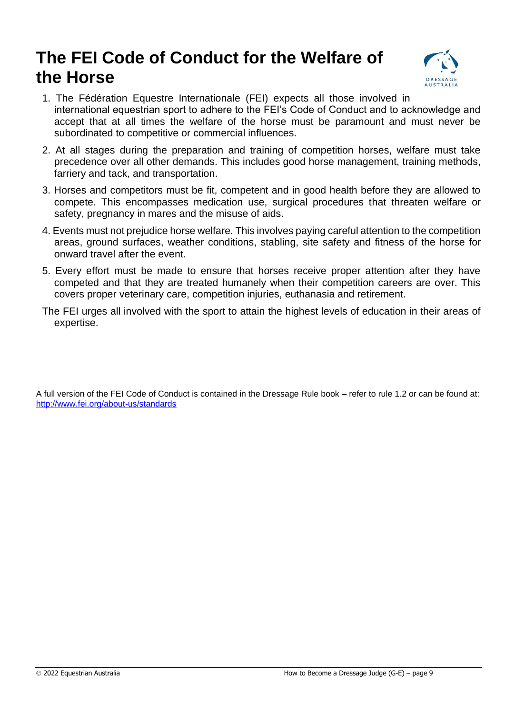# **The FEI Code of Conduct for the Welfare of the Horse**



- 1. The Fédération Equestre Internationale (FEI) expects all those involved in international equestrian sport to adhere to the FEI's Code of Conduct and to acknowledge and accept that at all times the welfare of the horse must be paramount and must never be subordinated to competitive or commercial influences.
- 2. At all stages during the preparation and training of competition horses, welfare must take precedence over all other demands. This includes good horse management, training methods, farriery and tack, and transportation.
- 3. Horses and competitors must be fit, competent and in good health before they are allowed to compete. This encompasses medication use, surgical procedures that threaten welfare or safety, pregnancy in mares and the misuse of aids.
- 4. Events must not prejudice horse welfare. This involves paying careful attention to the competition areas, ground surfaces, weather conditions, stabling, site safety and fitness of the horse for onward travel after the event.
- 5. Every effort must be made to ensure that horses receive proper attention after they have competed and that they are treated humanely when their competition careers are over. This covers proper veterinary care, competition injuries, euthanasia and retirement.

The FEI urges all involved with the sport to attain the highest levels of education in their areas of expertise.

A full version of the FEI Code of Conduct is contained in the Dressage Rule book – refer to rule 1.2 or can be found at: <http://www.fei.org/about-us/standards>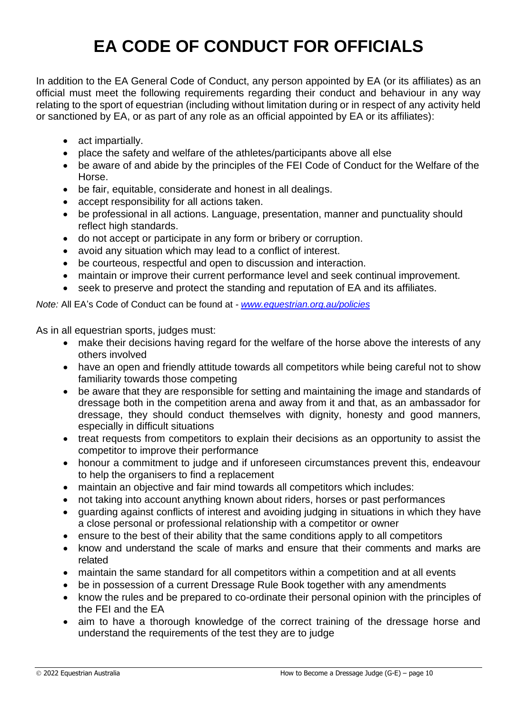# **EA CODE OF CONDUCT FOR OFFICIALS**

In addition to the EA General Code of Conduct, any person appointed by EA (or its affiliates) as an official must meet the following requirements regarding their conduct and behaviour in any way relating to the sport of equestrian (including without limitation during or in respect of any activity held or sanctioned by EA, or as part of any role as an official appointed by EA or its affiliates):

- act impartially.
- place the safety and welfare of the athletes/participants above all else
- be aware of and abide by the principles of the FEI Code of Conduct for the Welfare of the Horse.
- be fair, equitable, considerate and honest in all dealings.
- accept responsibility for all actions taken.
- be professional in all actions. Language, presentation, manner and punctuality should reflect high standards.
- do not accept or participate in any form or bribery or corruption.
- avoid any situation which may lead to a conflict of interest.
- be courteous, respectful and open to discussion and interaction.
- maintain or improve their current performance level and seek continual improvement.
- seek to preserve and protect the standing and reputation of EA and its affiliates.

*Note:* All EA's Code of Conduct can be found at *- [www.equestrian.org.au/policies](http://www.equestrian.org.au/policies)*

As in all equestrian sports, judges must:

- make their decisions having regard for the welfare of the horse above the interests of any others involved
- have an open and friendly attitude towards all competitors while being careful not to show familiarity towards those competing
- be aware that they are responsible for setting and maintaining the image and standards of dressage both in the competition arena and away from it and that, as an ambassador for dressage, they should conduct themselves with dignity, honesty and good manners, especially in difficult situations
- treat requests from competitors to explain their decisions as an opportunity to assist the competitor to improve their performance
- honour a commitment to judge and if unforeseen circumstances prevent this, endeavour to help the organisers to find a replacement
- maintain an objective and fair mind towards all competitors which includes:
- not taking into account anything known about riders, horses or past performances
- quarding against conflicts of interest and avoiding judging in situations in which they have a close personal or professional relationship with a competitor or owner
- ensure to the best of their ability that the same conditions apply to all competitors
- know and understand the scale of marks and ensure that their comments and marks are related
- maintain the same standard for all competitors within a competition and at all events
- be in possession of a current Dressage Rule Book together with any amendments
- know the rules and be prepared to co-ordinate their personal opinion with the principles of the FEI and the EA
- aim to have a thorough knowledge of the correct training of the dressage horse and understand the requirements of the test they are to judge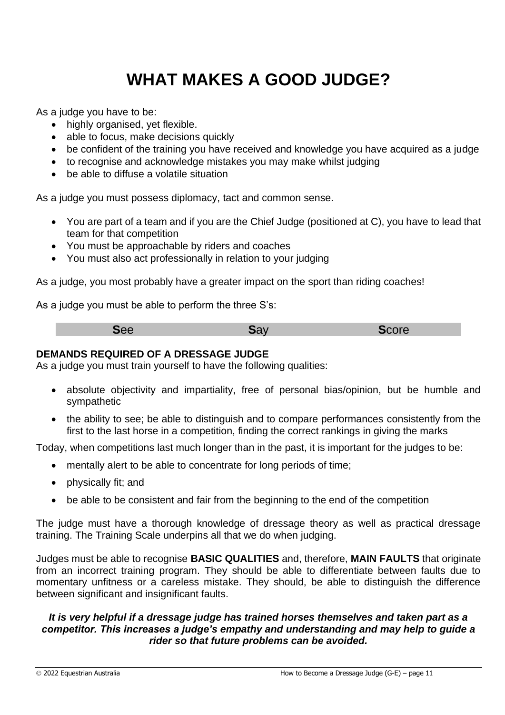# **WHAT MAKES A GOOD JUDGE?**

As a judge you have to be:

- highly organised, yet flexible.
- able to focus, make decisions quickly
- be confident of the training you have received and knowledge you have acquired as a judge
- to recognise and acknowledge mistakes you may make whilst judging
- be able to diffuse a volatile situation

As a judge you must possess diplomacy, tact and common sense.

- You are part of a team and if you are the Chief Judge (positioned at C), you have to lead that team for that competition
- You must be approachable by riders and coaches
- You must also act professionally in relation to your judging

As a judge, you most probably have a greater impact on the sport than riding coaches!

As a judge you must be able to perform the three S's:

| <b>See</b> | Say | <b>Score</b> |
|------------|-----|--------------|
|            |     |              |

### **DEMANDS REQUIRED OF A DRESSAGE JUDGE**

As a judge you must train yourself to have the following qualities:

- absolute objectivity and impartiality, free of personal bias/opinion, but be humble and sympathetic
- the ability to see; be able to distinguish and to compare performances consistently from the first to the last horse in a competition, finding the correct rankings in giving the marks

Today, when competitions last much longer than in the past, it is important for the judges to be:

- mentally alert to be able to concentrate for long periods of time;
- physically fit; and
- be able to be consistent and fair from the beginning to the end of the competition

The judge must have a thorough knowledge of dressage theory as well as practical dressage training. The Training Scale underpins all that we do when judging.

Judges must be able to recognise **BASIC QUALITIES** and, therefore, **MAIN FAULTS** that originate from an incorrect training program. They should be able to differentiate between faults due to momentary unfitness or a careless mistake. They should, be able to distinguish the difference between significant and insignificant faults.

### *It is very helpful if a dressage judge has trained horses themselves and taken part as a competitor. This increases a judge's empathy and understanding and may help to guide a rider so that future problems can be avoided.*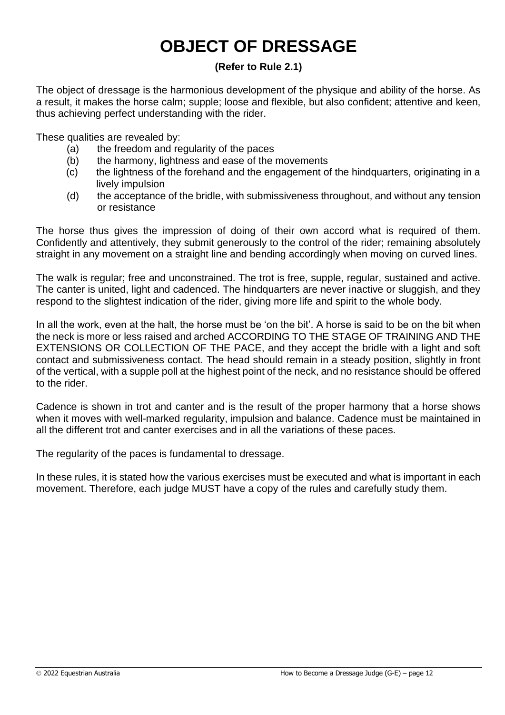# **OBJECT OF DRESSAGE**

# **(Refer to Rule 2.1)**

The object of dressage is the harmonious development of the physique and ability of the horse. As a result, it makes the horse calm; supple; loose and flexible, but also confident; attentive and keen, thus achieving perfect understanding with the rider.

These qualities are revealed by:

- (a) the freedom and regularity of the paces
- (b) the harmony, lightness and ease of the movements
- (c) the lightness of the forehand and the engagement of the hindquarters, originating in a lively impulsion
- (d) the acceptance of the bridle, with submissiveness throughout, and without any tension or resistance

The horse thus gives the impression of doing of their own accord what is required of them. Confidently and attentively, they submit generously to the control of the rider; remaining absolutely straight in any movement on a straight line and bending accordingly when moving on curved lines.

The walk is regular; free and unconstrained. The trot is free, supple, regular, sustained and active. The canter is united, light and cadenced. The hindquarters are never inactive or sluggish, and they respond to the slightest indication of the rider, giving more life and spirit to the whole body.

In all the work, even at the halt, the horse must be 'on the bit'. A horse is said to be on the bit when the neck is more or less raised and arched ACCORDING TO THE STAGE OF TRAINING AND THE EXTENSIONS OR COLLECTION OF THE PACE, and they accept the bridle with a light and soft contact and submissiveness contact. The head should remain in a steady position, slightly in front of the vertical, with a supple poll at the highest point of the neck, and no resistance should be offered to the rider.

Cadence is shown in trot and canter and is the result of the proper harmony that a horse shows when it moves with well-marked regularity, impulsion and balance. Cadence must be maintained in all the different trot and canter exercises and in all the variations of these paces.

The regularity of the paces is fundamental to dressage.

In these rules, it is stated how the various exercises must be executed and what is important in each movement. Therefore, each judge MUST have a copy of the rules and carefully study them.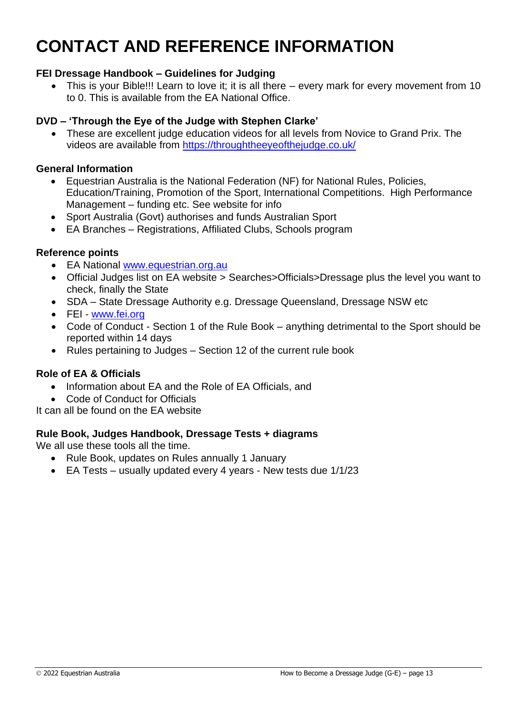# **CONTACT AND REFERENCE INFORMATION**

# **FEI Dressage Handbook – Guidelines for Judging**

• This is your Bible!!! Learn to love it; it is all there – every mark for every movement from 10 to 0. This is available from the EA National Office.

# **DVD – 'Through the Eye of the Judge with Stephen Clarke'**

• These are excellent judge education videos for all levels from Novice to Grand Prix. The videos are available from https://throughtheeyeofthejudge.co.uk/

# **General Information**

- Equestrian Australia is the National Federation (NF) for National Rules, Policies, Education/Training, Promotion of the Sport, International Competitions. High Performance Management – funding etc. See website for info
- Sport Australia (Govt) authorises and funds Australian Sport
- EA Branches Registrations, Affiliated Clubs, Schools program

# **Reference points**

- EA National [www.equestrian.org.au](http://www.equestrian.org.au/)
- Official Judges list on EA website > Searches>Officials>Dressage plus the level you want to check, finally the State
- SDA State Dressage Authority e.g. Dressage Queensland, Dressage NSW etc
- FEI [www.fei.org](http://www.fei.org/)
- Code of Conduct Section 1 of the Rule Book anything detrimental to the Sport should be reported within 14 days
- Rules pertaining to Judges Section 12 of the current rule book

# **Role of EA & Officials**

- Information about EA and the Role of EA Officials, and
- Code of Conduct for Officials

It can all be found on the EA website

# **Rule Book, Judges Handbook, Dressage Tests + diagrams**

We all use these tools all the time.

- Rule Book, updates on Rules annually 1 January
- EA Tests usually updated every 4 years New tests due 1/1/23